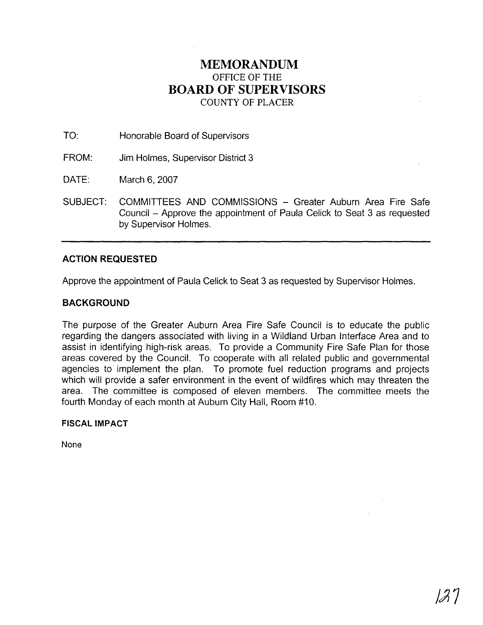# **MEMORANDUM**  OFFICE OF THE **BOARD OF SUPERVISORS**  COUNTY OF PLACER

TO: Honorable Board of Supervisors

FROM: Jim Holmes, Supervisor District 3

DATE: March 6,2007

SUBJECT: COMMITTEES AND COMMISSIONS - Greater Auburn Area Fire Safe Council - Approve the appointment of Paula Celick to Seat 3 as requested by Supervisor Holmes.

## **ACTION REQUESTED**

Approve the appointment of Paula Celick to Seat 3 as requested by Supervisor Holmes.

## **BACKGROUND**

The purpose of the Greater Auburn Area Fire Safe Council is to educate the public regarding the dangers associated with living in a Wildland Urban Interface Area and to assist in identifying high-risk areas. To provide a Community Fire Safe Plan for those areas covered by the Council. To cooperate with all related public and governmental agencies to implement the plan. To promote fuel reduction programs and projects which will provide a safer environment in the event of wildfires which may threaten the area. The committee is composed of eleven members. The committee meets the fourth Monday of each month at Auburn City Hall, Room #10.

#### **FISCAL IMPACT**

None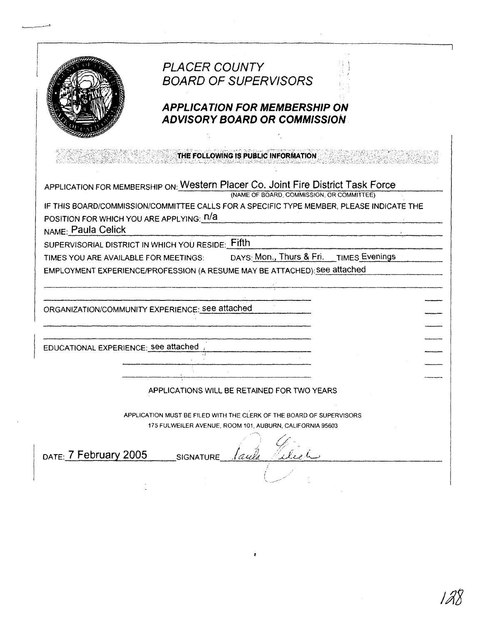| <b>PLACER COUNTY</b><br><b>BOARD OF SUPERVISORS</b><br><b>APPLICATION FOR MEMBERSHIP ON</b><br><b>ADVISORY BOARD OR COMMISSION</b><br>THE FOLLOWING IS PUBLIC INFORMATION<br>(NAME OF BOARD, COMMISSION, OR COMMITTEE)<br>DAYS: Mon., Thurs & Fri. TIMES Evenings<br>APPLICATIONS WILL BE RETAINED FOR TWO YEARS                                                                                                                                                                                                     |  |  |  |
|----------------------------------------------------------------------------------------------------------------------------------------------------------------------------------------------------------------------------------------------------------------------------------------------------------------------------------------------------------------------------------------------------------------------------------------------------------------------------------------------------------------------|--|--|--|
| APPLICATION FOR MEMBERSHIP ON: Western Placer Co. Joint Fire District Task Force<br>IF THIS BOARD/COMMISSION/COMMITTEE CALLS FOR A SPECIFIC TYPE MEMBER, PLEASE INDICATE THE<br>POSITION FOR WHICH YOU ARE APPLYING: N/A<br>NAME: Paula Celick<br>SUPERVISORIAL DISTRICT IN WHICH YOU RESIDE: Fifth<br>TIMES YOU ARE AVAILABLE FOR MEETINGS:<br>EMPLOYMENT EXPERIENCE/PROFESSION (A RESUME MAY BE ATTACHED): see attached<br>ORGANIZATION/COMMUNITY EXPERIENCE: see attached<br>EDUCATIONAL EXPERIENCE: see attached |  |  |  |
|                                                                                                                                                                                                                                                                                                                                                                                                                                                                                                                      |  |  |  |
|                                                                                                                                                                                                                                                                                                                                                                                                                                                                                                                      |  |  |  |
|                                                                                                                                                                                                                                                                                                                                                                                                                                                                                                                      |  |  |  |
|                                                                                                                                                                                                                                                                                                                                                                                                                                                                                                                      |  |  |  |
|                                                                                                                                                                                                                                                                                                                                                                                                                                                                                                                      |  |  |  |
|                                                                                                                                                                                                                                                                                                                                                                                                                                                                                                                      |  |  |  |
|                                                                                                                                                                                                                                                                                                                                                                                                                                                                                                                      |  |  |  |
|                                                                                                                                                                                                                                                                                                                                                                                                                                                                                                                      |  |  |  |
|                                                                                                                                                                                                                                                                                                                                                                                                                                                                                                                      |  |  |  |
|                                                                                                                                                                                                                                                                                                                                                                                                                                                                                                                      |  |  |  |
|                                                                                                                                                                                                                                                                                                                                                                                                                                                                                                                      |  |  |  |
|                                                                                                                                                                                                                                                                                                                                                                                                                                                                                                                      |  |  |  |
|                                                                                                                                                                                                                                                                                                                                                                                                                                                                                                                      |  |  |  |
|                                                                                                                                                                                                                                                                                                                                                                                                                                                                                                                      |  |  |  |
|                                                                                                                                                                                                                                                                                                                                                                                                                                                                                                                      |  |  |  |
| APPLICATION MUST BE FILED WITH THE CLERK OF THE BOARD OF SUPERVISORS<br>175 FULWEILER AVENUE, ROOM 101, AUBURN, CALIFORNIA 95603                                                                                                                                                                                                                                                                                                                                                                                     |  |  |  |
| DATE: 7 February 2005<br><b>SIGNATURE</b>                                                                                                                                                                                                                                                                                                                                                                                                                                                                            |  |  |  |
|                                                                                                                                                                                                                                                                                                                                                                                                                                                                                                                      |  |  |  |

r